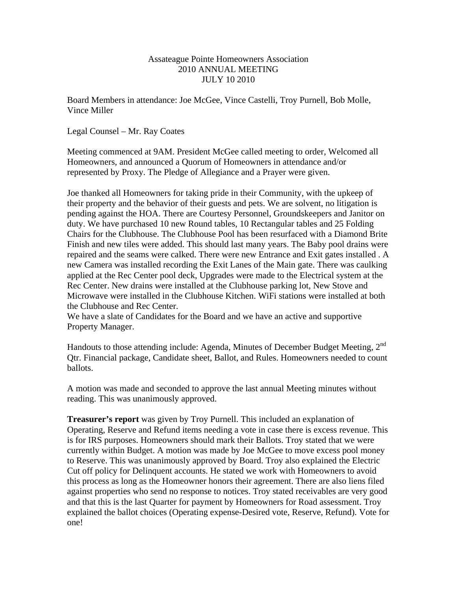#### Assateague Pointe Homeowners Association 2010 ANNUAL MEETING JULY 10 2010

Board Members in attendance: Joe McGee, Vince Castelli, Troy Purnell, Bob Molle, Vince Miller

Legal Counsel – Mr. Ray Coates

Meeting commenced at 9AM. President McGee called meeting to order, Welcomed all Homeowners, and announced a Quorum of Homeowners in attendance and/or represented by Proxy. The Pledge of Allegiance and a Prayer were given.

Joe thanked all Homeowners for taking pride in their Community, with the upkeep of their property and the behavior of their guests and pets. We are solvent, no litigation is pending against the HOA. There are Courtesy Personnel, Groundskeepers and Janitor on duty. We have purchased 10 new Round tables, 10 Rectangular tables and 25 Folding Chairs for the Clubhouse. The Clubhouse Pool has been resurfaced with a Diamond Brite Finish and new tiles were added. This should last many years. The Baby pool drains were repaired and the seams were calked. There were new Entrance and Exit gates installed . A new Camera was installed recording the Exit Lanes of the Main gate. There was caulking applied at the Rec Center pool deck, Upgrades were made to the Electrical system at the Rec Center. New drains were installed at the Clubhouse parking lot, New Stove and Microwave were installed in the Clubhouse Kitchen. WiFi stations were installed at both the Clubhouse and Rec Center.

We have a slate of Candidates for the Board and we have an active and supportive Property Manager.

Handouts to those attending include: Agenda, Minutes of December Budget Meeting, 2<sup>nd</sup> Qtr. Financial package, Candidate sheet, Ballot, and Rules. Homeowners needed to count ballots.

A motion was made and seconded to approve the last annual Meeting minutes without reading. This was unanimously approved.

**Treasurer's report** was given by Troy Purnell. This included an explanation of Operating, Reserve and Refund items needing a vote in case there is excess revenue. This is for IRS purposes. Homeowners should mark their Ballots. Troy stated that we were currently within Budget. A motion was made by Joe McGee to move excess pool money to Reserve. This was unanimously approved by Board. Troy also explained the Electric Cut off policy for Delinquent accounts. He stated we work with Homeowners to avoid this process as long as the Homeowner honors their agreement. There are also liens filed against properties who send no response to notices. Troy stated receivables are very good and that this is the last Quarter for payment by Homeowners for Road assessment. Troy explained the ballot choices (Operating expense-Desired vote, Reserve, Refund). Vote for one!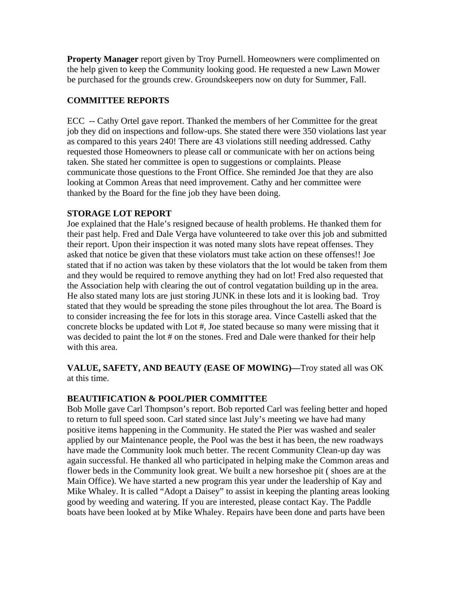**Property Manager** report given by Troy Purnell. Homeowners were complimented on the help given to keep the Community looking good. He requested a new Lawn Mower be purchased for the grounds crew. Groundskeepers now on duty for Summer, Fall.

## **COMMITTEE REPORTS**

ECC -- Cathy Ortel gave report. Thanked the members of her Committee for the great job they did on inspections and follow-ups. She stated there were 350 violations last year as compared to this years 240! There are 43 violations still needing addressed. Cathy requested those Homeowners to please call or communicate with her on actions being taken. She stated her committee is open to suggestions or complaints. Please communicate those questions to the Front Office. She reminded Joe that they are also looking at Common Areas that need improvement. Cathy and her committee were thanked by the Board for the fine job they have been doing.

## **STORAGE LOT REPORT**

Joe explained that the Hale's resigned because of health problems. He thanked them for their past help. Fred and Dale Verga have volunteered to take over this job and submitted their report. Upon their inspection it was noted many slots have repeat offenses. They asked that notice be given that these violators must take action on these offenses!! Joe stated that if no action was taken by these violators that the lot would be taken from them and they would be required to remove anything they had on lot! Fred also requested that the Association help with clearing the out of control vegatation building up in the area. He also stated many lots are just storing JUNK in these lots and it is looking bad. Troy stated that they would be spreading the stone piles throughout the lot area. The Board is to consider increasing the fee for lots in this storage area. Vince Castelli asked that the concrete blocks be updated with Lot #, Joe stated because so many were missing that it was decided to paint the lot # on the stones. Fred and Dale were thanked for their help with this area.

**VALUE, SAFETY, AND BEAUTY (EASE OF MOWING)—**Troy stated all was OK at this time.

## **BEAUTIFICATION & POOL/PIER COMMITTEE**

Bob Molle gave Carl Thompson's report. Bob reported Carl was feeling better and hoped to return to full speed soon. Carl stated since last July's meeting we have had many positive items happening in the Community. He stated the Pier was washed and sealer applied by our Maintenance people, the Pool was the best it has been, the new roadways have made the Community look much better. The recent Community Clean-up day was again successful. He thanked all who participated in helping make the Common areas and flower beds in the Community look great. We built a new horseshoe pit ( shoes are at the Main Office). We have started a new program this year under the leadership of Kay and Mike Whaley. It is called "Adopt a Daisey" to assist in keeping the planting areas looking good by weeding and watering. If you are interested, please contact Kay. The Paddle boats have been looked at by Mike Whaley. Repairs have been done and parts have been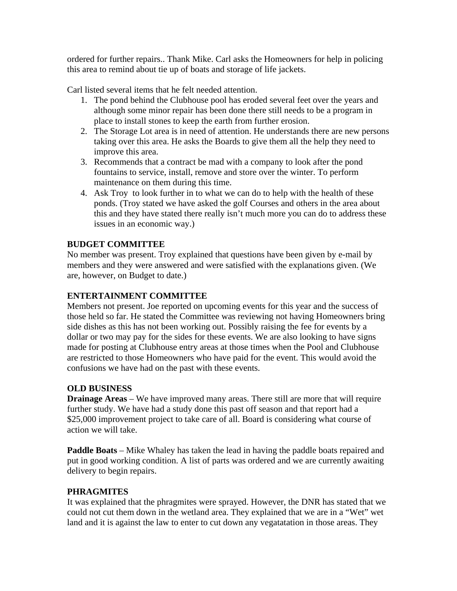ordered for further repairs.. Thank Mike. Carl asks the Homeowners for help in policing this area to remind about tie up of boats and storage of life jackets.

Carl listed several items that he felt needed attention.

- 1. The pond behind the Clubhouse pool has eroded several feet over the years and although some minor repair has been done there still needs to be a program in place to install stones to keep the earth from further erosion.
- 2. The Storage Lot area is in need of attention. He understands there are new persons taking over this area. He asks the Boards to give them all the help they need to improve this area.
- 3. Recommends that a contract be mad with a company to look after the pond fountains to service, install, remove and store over the winter. To perform maintenance on them during this time.
- 4. Ask Troy to look further in to what we can do to help with the health of these ponds. (Troy stated we have asked the golf Courses and others in the area about this and they have stated there really isn't much more you can do to address these issues in an economic way.)

## **BUDGET COMMITTEE**

No member was present. Troy explained that questions have been given by e-mail by members and they were answered and were satisfied with the explanations given. (We are, however, on Budget to date.)

## **ENTERTAINMENT COMMITTEE**

Members not present. Joe reported on upcoming events for this year and the success of those held so far. He stated the Committee was reviewing not having Homeowners bring side dishes as this has not been working out. Possibly raising the fee for events by a dollar or two may pay for the sides for these events. We are also looking to have signs made for posting at Clubhouse entry areas at those times when the Pool and Clubhouse are restricted to those Homeowners who have paid for the event. This would avoid the confusions we have had on the past with these events.

## **OLD BUSINESS**

**Drainage Areas** – We have improved many areas. There still are more that will require further study. We have had a study done this past off season and that report had a \$25,000 improvement project to take care of all. Board is considering what course of action we will take.

**Paddle Boats** – Mike Whaley has taken the lead in having the paddle boats repaired and put in good working condition. A list of parts was ordered and we are currently awaiting delivery to begin repairs.

## **PHRAGMITES**

It was explained that the phragmites were sprayed. However, the DNR has stated that we could not cut them down in the wetland area. They explained that we are in a "Wet" wet land and it is against the law to enter to cut down any vegatatation in those areas. They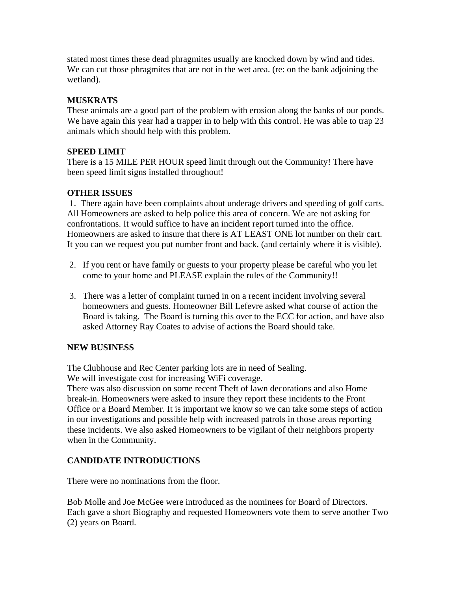stated most times these dead phragmites usually are knocked down by wind and tides. We can cut those phragmites that are not in the wet area. (re: on the bank adjoining the wetland).

# **MUSKRATS**

These animals are a good part of the problem with erosion along the banks of our ponds. We have again this year had a trapper in to help with this control. He was able to trap 23 animals which should help with this problem.

## **SPEED LIMIT**

There is a 15 MILE PER HOUR speed limit through out the Community! There have been speed limit signs installed throughout!

## **OTHER ISSUES**

 1. There again have been complaints about underage drivers and speeding of golf carts. All Homeowners are asked to help police this area of concern. We are not asking for confrontations. It would suffice to have an incident report turned into the office. Homeowners are asked to insure that there is AT LEAST ONE lot number on their cart. It you can we request you put number front and back. (and certainly where it is visible).

- 2. If you rent or have family or guests to your property please be careful who you let come to your home and PLEASE explain the rules of the Community!!
- 3. There was a letter of complaint turned in on a recent incident involving several homeowners and guests. Homeowner Bill Lefevre asked what course of action the Board is taking. The Board is turning this over to the ECC for action, and have also asked Attorney Ray Coates to advise of actions the Board should take.

## **NEW BUSINESS**

The Clubhouse and Rec Center parking lots are in need of Sealing. We will investigate cost for increasing WiFi coverage.

There was also discussion on some recent Theft of lawn decorations and also Home break-in. Homeowners were asked to insure they report these incidents to the Front Office or a Board Member. It is important we know so we can take some steps of action in our investigations and possible help with increased patrols in those areas reporting these incidents. We also asked Homeowners to be vigilant of their neighbors property when in the Community.

# **CANDIDATE INTRODUCTIONS**

There were no nominations from the floor.

Bob Molle and Joe McGee were introduced as the nominees for Board of Directors. Each gave a short Biography and requested Homeowners vote them to serve another Two (2) years on Board.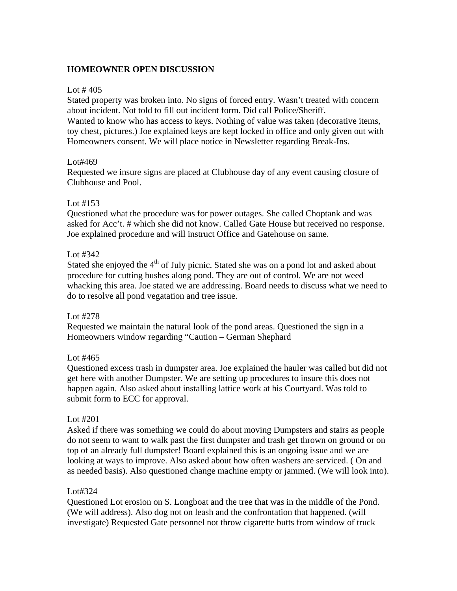## **HOMEOWNER OPEN DISCUSSION**

#### Lot  $\#$  405

Stated property was broken into. No signs of forced entry. Wasn't treated with concern about incident. Not told to fill out incident form. Did call Police/Sheriff. Wanted to know who has access to keys. Nothing of value was taken (decorative items, toy chest, pictures.) Joe explained keys are kept locked in office and only given out with Homeowners consent. We will place notice in Newsletter regarding Break-Ins.

#### Lot#469

Requested we insure signs are placed at Clubhouse day of any event causing closure of Clubhouse and Pool.

#### Lot #153

Questioned what the procedure was for power outages. She called Choptank and was asked for Acc't. # which she did not know. Called Gate House but received no response. Joe explained procedure and will instruct Office and Gatehouse on same.

## Lot #342

Stated she enjoyed the  $4<sup>th</sup>$  of July picnic. Stated she was on a pond lot and asked about procedure for cutting bushes along pond. They are out of control. We are not weed whacking this area. Joe stated we are addressing. Board needs to discuss what we need to do to resolve all pond vegatation and tree issue.

#### Lot #278

Requested we maintain the natural look of the pond areas. Questioned the sign in a Homeowners window regarding "Caution – German Shephard

#### Lot #465

Questioned excess trash in dumpster area. Joe explained the hauler was called but did not get here with another Dumpster. We are setting up procedures to insure this does not happen again. Also asked about installing lattice work at his Courtyard. Was told to submit form to ECC for approval.

#### Lot #201

Asked if there was something we could do about moving Dumpsters and stairs as people do not seem to want to walk past the first dumpster and trash get thrown on ground or on top of an already full dumpster! Board explained this is an ongoing issue and we are looking at ways to improve. Also asked about how often washers are serviced. ( On and as needed basis). Also questioned change machine empty or jammed. (We will look into).

#### Lot#324

Questioned Lot erosion on S. Longboat and the tree that was in the middle of the Pond. (We will address). Also dog not on leash and the confrontation that happened. (will investigate) Requested Gate personnel not throw cigarette butts from window of truck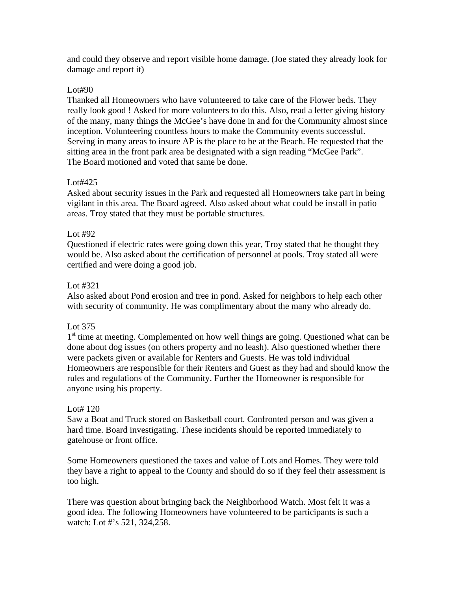and could they observe and report visible home damage. (Joe stated they already look for damage and report it)

#### Lot#90

Thanked all Homeowners who have volunteered to take care of the Flower beds. They really look good ! Asked for more volunteers to do this. Also, read a letter giving history of the many, many things the McGee's have done in and for the Community almost since inception. Volunteering countless hours to make the Community events successful. Serving in many areas to insure AP is the place to be at the Beach. He requested that the sitting area in the front park area be designated with a sign reading "McGee Park". The Board motioned and voted that same be done.

## Lot#425

Asked about security issues in the Park and requested all Homeowners take part in being vigilant in this area. The Board agreed. Also asked about what could be install in patio areas. Troy stated that they must be portable structures.

## Lot #92

Questioned if electric rates were going down this year, Troy stated that he thought they would be. Also asked about the certification of personnel at pools. Troy stated all were certified and were doing a good job.

## Lot #321

Also asked about Pond erosion and tree in pond. Asked for neighbors to help each other with security of community. He was complimentary about the many who already do.

## Lot 375

1<sup>st</sup> time at meeting. Complemented on how well things are going. Questioned what can be done about dog issues (on others property and no leash). Also questioned whether there were packets given or available for Renters and Guests. He was told individual Homeowners are responsible for their Renters and Guest as they had and should know the rules and regulations of the Community. Further the Homeowner is responsible for anyone using his property.

#### Lot# 120

Saw a Boat and Truck stored on Basketball court. Confronted person and was given a hard time. Board investigating. These incidents should be reported immediately to gatehouse or front office.

Some Homeowners questioned the taxes and value of Lots and Homes. They were told they have a right to appeal to the County and should do so if they feel their assessment is too high.

There was question about bringing back the Neighborhood Watch. Most felt it was a good idea. The following Homeowners have volunteered to be participants is such a watch: Lot #'s 521, 324,258.